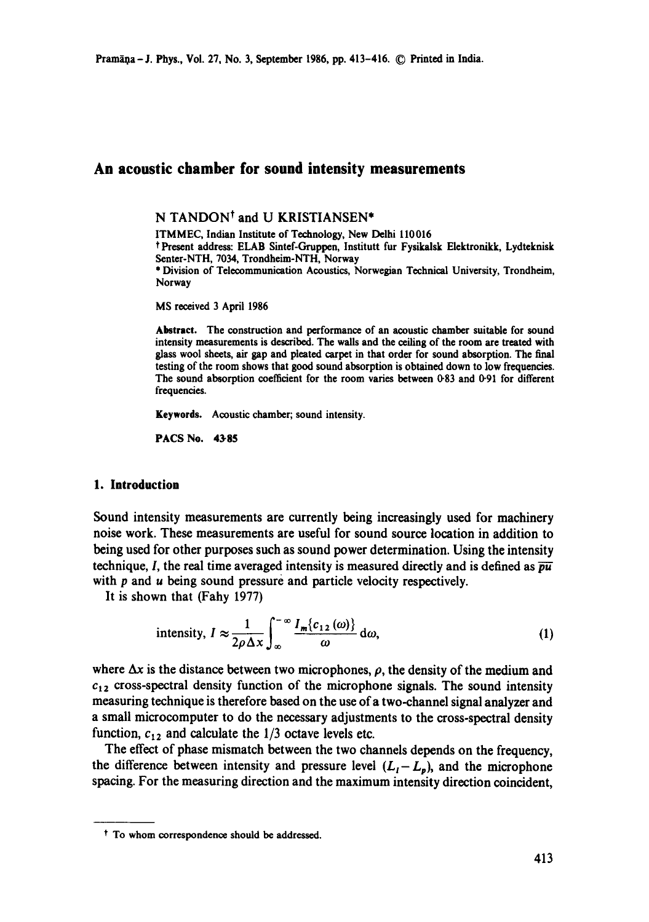# **An acoustic chamber for sound intensity measurements**

N TANDON<sup>†</sup> and U KRISTIANSEN<sup>\*</sup>

ITMMEC, Indian Institute of Technology, New Delhi 110016 t Present address: ELAB Sintef-Gruppen, Institutt fur Fysikalsk Elektronikk, Lydteknisk Senter-NTH, 7034, Trondheim-NTH, Norway \* Division of Telecommunication Acoustics, Norwegian Technical University, Trondheim, Norway

MS received 3 April 1986

Abstract. The construction and performance of an acoustic chamber suitable for sound intensity measurements is described. The walls and the ceiling of the room are treated with glass wool sheets, air gap and pleated carpet in that order for sound absorption. The final testing of the room shows that good sound absorption is obtained down to low frequencies. The sound absorption coefficient for the room varies between 0-83 and 0-91 for different frequencies.

**Keywords.** Acoustic chamber; sound intensity.

PACS No. 43-85

#### **1. Introduction**

Sound intensity measurements are currently being increasingly used for machinery noise work. These measurements are useful for sound source location in addition to being used for other purposes such as sound power determination. Using the intensity technique, *I*, the real time averaged intensity is measured directly and is defined as  $\overline{pu}$ with  $p$  and  $u$  being sound pressure and particle velocity respectively.

It is shown that (Fahy 1977)

intensity, 
$$
I \approx \frac{1}{2\rho \Delta x} \int_{-\infty}^{\infty} \frac{I_m \{c_{12}(\omega)\}}{\omega} d\omega,
$$
 (1)

where  $\Delta x$  is the distance between two microphones,  $\rho$ , the density of the medium and  $c_{12}$  cross-spectral density function of the microphone signals. The sound intensity measuring technique is therefore based on the use of a two-channel signal analyzer and a small microcomputer to do the necessary adjustments to the cross-spectral density function,  $c_{12}$  and calculate the  $1/3$  octave levels etc.

The effect of phase mismatch between the two channels depends on the frequency, the difference between intensity and pressure level  $(L<sub>I</sub>-L<sub>p</sub>)$ , and the microphone spacing. For the measuring direction and the maximum intensity direction coincident,

t To whom correspondence should be addressed.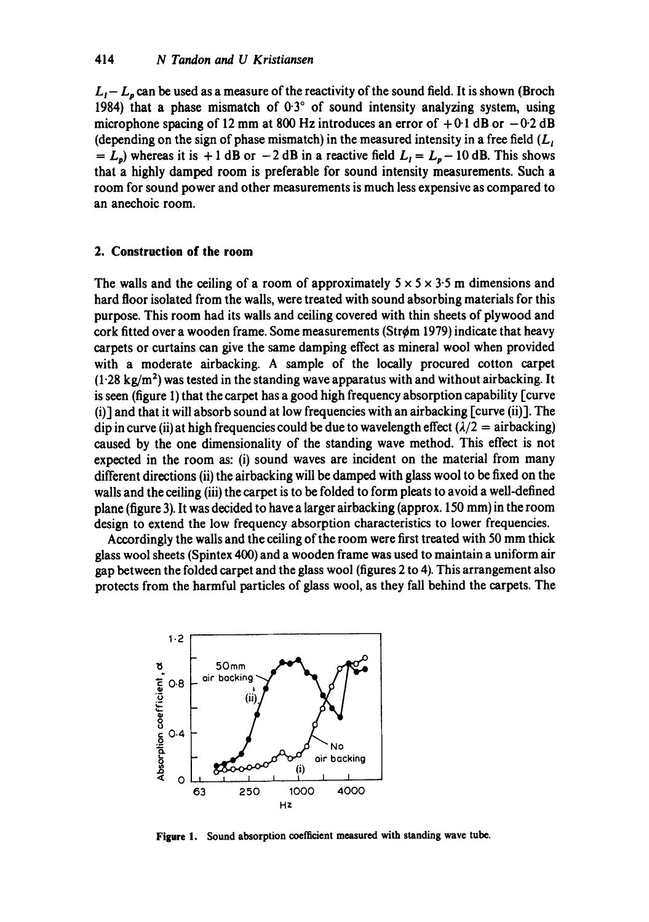$L_1 - L_p$  can be used as a measure of the reactivity of the sound field. It is shown (Broch 1984) that a phase mismatch of  $0.3^{\circ}$  of sound intensity analyzing system, using microphone spacing of 12 mm at 800 Hz introduces an error of  $+0.1$  dB or  $-0.2$  dB (depending on the sign of phase mismatch) in the measured intensity in a free field  $(L<sub>1</sub>$  $= L_p$ ) whereas it is + 1 dB or -2 dB in a reactive field  $L_1 = L_p - 10$  dB. This shows that a highly damped room is preferable for sound intensity measurements. Such a room for sound power and other measurements is much less expensive as compared to an anechoic room.

### **2. Construction of the room**

The walls and the ceiling of a room of approximately  $5 \times 5 \times 3.5$  m dimensions and hard floor isolated from the walls, were treated with sound absorbing materials for this purpose. This room had its walls and ceiling covered with thin sheets of plywood and cork fitted over a wooden frame. Some measurements (Strøm 1979) indicate that heavy carpets or curtains can give the same damping effect as mineral wool when provided with a moderate airbacking. A sample of the locally procured cotton carpet  $(1.28 \text{ kg/m}^2)$  was tested in the standing wave apparatus with and without airbacking. It is seen (figure 1) that the carpet has a good high frequency absorption capability [curve (i)] and that it will absorb sound at low frequencies with an airbacking [curve (ii)]. The dip in curve (ii) at high frequencies could be due to wavelength effect ( $\lambda/2$  = airbacking) caused by the one dimensionality of the standing wave method. This effect is not expected in the room as: (i) sound waves are incident on the material from many different directions (ii) the airbacking will be damped with glass wool to be fixed on the walls and the ceiling (iii) the carpet is to be folded to form pleats to avoid a well-defined plane (figure 3). It was decided to have a larger airbacking (approx. 150 mm) in the room design to extend the low frequency absorption characteristics to lower frequencies.

Accordingly the walls and the ceiling of the room were first treated with 50 mm thick glass wool sheets (Spintex 400) and a wooden frame was used to maintain a uniform air gap between the folded carpet and the glass wool (figures 2 to 4). This arrangement also protects from the harmful particles of glass wool, as they fall behind the carpets. The



**Figure** 1. Sound absorption coefficient measured with standing wave tube.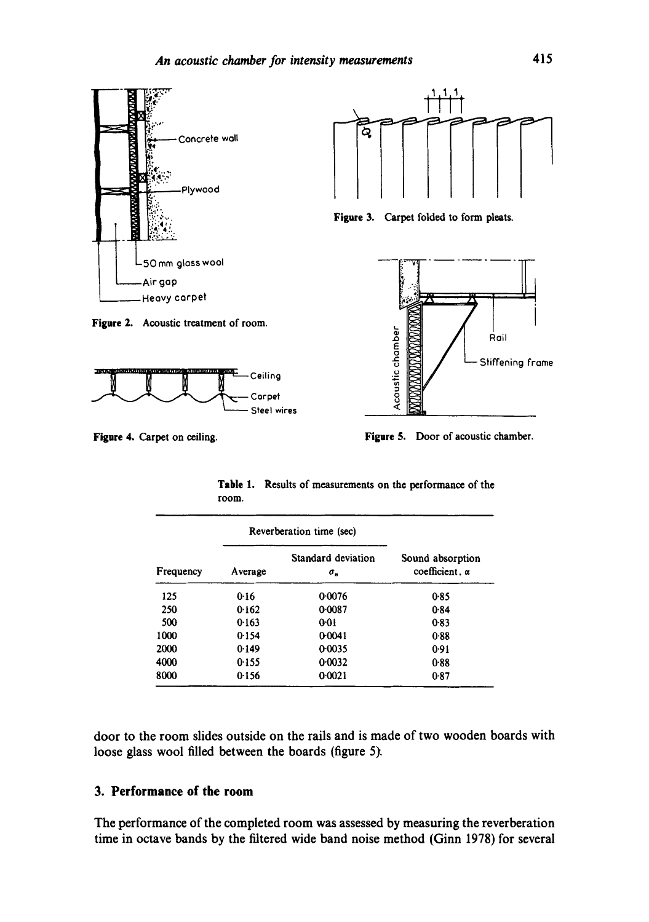

Figure 2. Acoustic treatment of **room.** 



Figure 4. Carpet on ceiling. The Figure 5. Door of acoustic chamber.

Stiffening frame

Rail

**Table** 1. Results of **measurements on the** performance of **the room.** 

| Frequency | Reverberation time (sec) |                          |                                           |
|-----------|--------------------------|--------------------------|-------------------------------------------|
|           | Average                  | Standard deviation<br>σ. | Sound absorption<br>coefficient. $\alpha$ |
| 125       | 0.16                     | 0.0076                   | 0.85                                      |
| 250       | 0.162                    | 0.0087                   | 0.84                                      |
| 500       | 0.163                    | 0:01                     | 0.83                                      |
| 1000      | 0.154                    | 0.0041                   | 0.88                                      |
| 2000      | 0.149                    | 0.0035                   | 0.91                                      |
| 4000      | 0.155                    | 0.0032                   | 0.88                                      |
| 8000      | 0.156                    | 0:0021                   | 0.87                                      |

**door to the room slides outside on the rails and is made of two wooden boards with loose glass wool filled between the boards (figure 5).** 

## **3. Performance of the room**

**The performance of the completed room was assessed by measuring the reverberation time in octave bands by the filtered wide band noise method (Ginn 1978) for several** 



Figure 3. Carpet folded to form pleats.

.... I

ic chamb<br><del>r-----------</del>

Acou